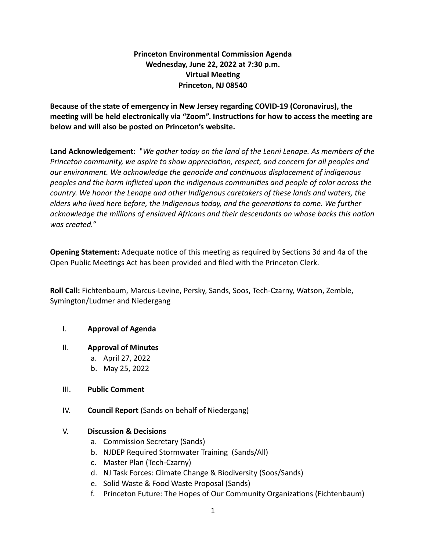# **Princeton Environmental Commission Agenda Wednesday, June 22, 2022 at 7:30 p.m. Virtual Meeting Princeton, NJ 08540**

**Because of the state of emergency in New Jersey regarding COVID-19 (Coronavirus), the meeting will be held electronically via "Zoom". Instructions for how to access the meeting are below and will also be posted on Princeton's website.**

**Land Acknowledgement:** "*We gather today on the land of the Lenni Lenape. As members of the Princeton community, we aspire to show appreciation, respect, and concern for all peoples and our environment. We acknowledge the genocide and continuous displacement of indigenous peoples and the harm inflicted upon the indigenous communities and people of color across the country. We honor the Lenape and other Indigenous caretakers of these lands and waters, the elders who lived here before, the Indigenous today, and the generations to come. We further acknowledge the millions of enslaved Africans and their descendants on whose backs this nation was created."*

**Opening Statement:** Adequate notice of this meeting as required by Sections 3d and 4a of the Open Public Meetings Act has been provided and filed with the Princeton Clerk.

**Roll Call:** Fichtenbaum, Marcus-Levine, Persky, Sands, Soos, Tech-Czarny, Watson, Zemble, Symington/Ludmer and Niedergang

# I. **Approval of Agenda**

#### II. **Approval of Minutes**

a. April 27, 2022 b. May 25, 2022

# III. **Public Comment**

IV. **Council Report** (Sands on behalf of Niedergang)

# V. **Discussion & Decisions**

- a. Commission Secretary (Sands)
- b. NJDEP Required Stormwater Training (Sands/All)
- c. Master Plan (Tech-Czarny)
- d. NJ Task Forces: Climate Change & Biodiversity (Soos/Sands)
- e. Solid Waste & Food Waste Proposal (Sands)
- f. Princeton Future: The Hopes of Our Community Organizations (Fichtenbaum)